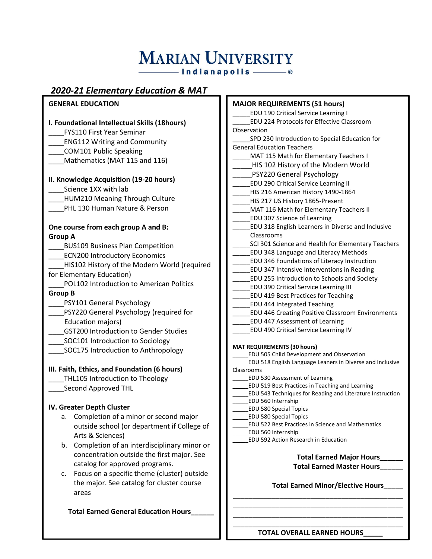# **MARIAN UNIVERSITY**

 $-$ Indianapolis $-$ 

### *2020-21 Elementary Education & MAT*

#### **GENERAL EDUCATION**

#### **I. Foundational Intellectual Skills (18hours)**

\_\_\_\_FYS110 First Year Seminar

- \_\_\_\_ENG112 Writing and Community
- \_\_\_\_COM101 Public Speaking
- Mathematics (MAT 115 and 116)

#### **II. Knowledge Acquisition (19-20 hours)**

- Science 1XX with lab
- HUM210 Meaning Through Culture
- \_\_\_\_PHL 130 Human Nature & Person

#### **One course from each group A and B: Group A**

- \_\_\_\_BUS109 Business Plan Competition
- ECN200 Introductory Economics
- HIS102 History of the Modern World (required for Elementary Education)
- \_\_\_\_POL102 Introduction to American Politics **Group B**
- \_\_\_\_PSY101 General Psychology
- \_\_\_\_PSY220 General Psychology (required for Education majors)
- \_\_\_\_GST200 Introduction to Gender Studies
- SOC101 Introduction to Sociology
- \_\_\_\_SOC175 Introduction to Anthropology

#### **III. Faith, Ethics, and Foundation (6 hours)**

- THL105 Introduction to Theology
- \_\_\_\_Second Approved THL

#### **IV. Greater Depth Cluster**

- a. Completion of a minor or second major outside school (or department if College of Arts & Sciences)
- b. Completion of an interdisciplinary minor or concentration outside the first major. See catalog for approved programs.
- c. Focus on a specific theme (cluster) outside the major. See catalog for cluster course areas

 **Total Earned General Education Hours\_\_\_\_\_\_**

- **MAJOR REQUIREMENTS (51 hours)** \_\_\_\_\_EDU 190 Critical Service Learning I \_\_\_\_\_EDU 224 Protocols for Effective Classroom Observation SPD 230 Introduction to Special Education for General Education Teachers MAT 115 Math for Elementary Teachers I HIS 102 History of the Modern World \_\_\_\_\_PSY220 General Psychology EDU 290 Critical Service Learning II \_\_\_\_\_HIS 216 American History 1490-1864 HIS 217 US History 1865-Present MAT 116 Math for Elementary Teachers II \_\_\_\_\_EDU 307 Science of Learning \_\_\_\_\_EDU 318 English Learners in Diverse and Inclusive Classrooms SCI 301 Science and Health for Elementary Teachers \_\_\_\_\_EDU 348 Language and Literacy Methods \_\_\_\_\_EDU 346 Foundations of Literacy Instruction \_\_\_\_\_EDU 347 Intensive Interventions in Reading \_\_\_\_\_EDU 255 Introduction to Schools and Society \_\_\_\_\_EDU 390 Critical Service Learning III \_\_\_\_\_EDU 419 Best Practices for Teaching \_\_\_\_\_EDU 444 Integrated Teaching \_\_\_\_\_EDU 446 Creating Positive Classroom Environments \_\_\_\_\_EDU 447 Assessment of Learning \_\_\_\_\_EDU 490 Critical Service Learning IV **MAT REQUIREMENTS (30 hours)** \_\_\_\_\_EDU 505 Child Development and Observation \_\_\_\_\_EDU 518 English Language Leaners in Diverse and Inclusive Classrooms \_\_\_\_\_EDU 530 Assessment of Learning \_\_\_\_\_EDU 519 Best Practices in Teaching and Learning \_\_\_\_\_EDU 543 Techniques for Reading and Literature Instruction \_\_\_\_\_EDU 560 Internship \_\_\_\_\_EDU 580 Special Topics \_\_\_\_\_EDU 580 Special Topics
	- \_\_\_\_\_EDU 522 Best Practices in Science and Mathematics
	- \_\_\_\_\_EDU 560 Internship
	- \_\_\_\_\_EDU 592 Action Research in Education



**Total Earned Minor/Elective Hours\_\_\_\_\_**

\_\_\_\_\_\_\_\_\_\_\_\_\_\_\_\_\_\_\_\_\_\_\_\_\_\_\_\_\_\_\_\_\_\_\_\_\_\_\_\_\_\_\_\_ \_\_\_\_\_\_\_\_\_\_\_\_\_\_\_\_\_\_\_\_\_\_\_\_\_\_\_\_\_\_\_\_\_\_\_\_\_\_\_\_\_\_\_\_ \_\_\_\_\_\_\_\_\_\_\_\_\_\_\_\_\_\_\_\_\_\_\_\_\_\_\_\_\_\_\_\_\_\_\_\_\_\_\_\_\_\_\_\_ \_\_\_\_\_\_\_\_\_\_\_\_\_\_\_\_\_\_\_\_\_\_\_\_\_\_\_\_\_\_\_\_\_\_\_\_\_\_\_\_\_\_\_\_